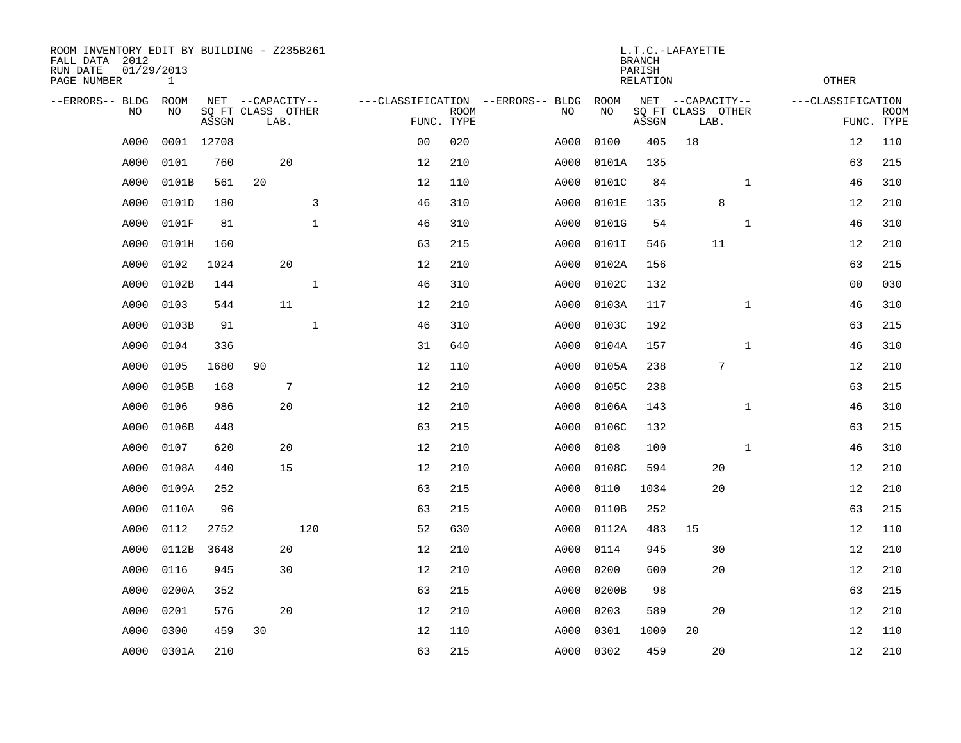| ROOM INVENTORY EDIT BY BUILDING - Z235B261<br>FALL DATA 2012<br>RUN DATE<br>PAGE NUMBER | 01/29/2013<br>$\mathbf{1}$ |            |                                       | L.T.C.-LAFAYETTE<br><b>BRANCH</b><br>PARISH<br><b>RELATION</b> |             |                                         |            |       |                                       |              | <b>OTHER</b>      |             |  |  |  |
|-----------------------------------------------------------------------------------------|----------------------------|------------|---------------------------------------|----------------------------------------------------------------|-------------|-----------------------------------------|------------|-------|---------------------------------------|--------------|-------------------|-------------|--|--|--|
| --ERRORS-- BLDG<br>NO                                                                   | <b>ROOM</b><br>NO          |            | NET --CAPACITY--<br>SQ FT CLASS OTHER |                                                                | <b>ROOM</b> | ---CLASSIFICATION --ERRORS-- BLDG<br>NO | ROOM<br>NO |       | NET --CAPACITY--<br>SQ FT CLASS OTHER |              | ---CLASSIFICATION | <b>ROOM</b> |  |  |  |
|                                                                                         |                            | ASSGN      | LAB.                                  |                                                                | FUNC. TYPE  |                                         |            | ASSGN | LAB.                                  |              |                   | FUNC. TYPE  |  |  |  |
| A000                                                                                    |                            | 0001 12708 |                                       | 0 <sub>0</sub>                                                 | 020         | A000                                    | 0100       | 405   | 18                                    |              | 12                | 110         |  |  |  |
| A000                                                                                    | 0101                       | 760        | 20                                    | 12                                                             | 210         | A000                                    | 0101A      | 135   |                                       |              | 63                | 215         |  |  |  |
| A000                                                                                    | 0101B                      | 561        | 20                                    | 12                                                             | 110         | A000                                    | 0101C      | 84    |                                       | $\mathbf{1}$ | 46                | 310         |  |  |  |
| A000                                                                                    | 0101D                      | 180        | 3                                     | 46                                                             | 310         | A000                                    | 0101E      | 135   | 8                                     |              | 12                | 210         |  |  |  |
| A000                                                                                    | 0101F                      | 81         | $\mathbf{1}$                          | 46                                                             | 310         | A000                                    | 0101G      | 54    |                                       | $\mathbf{1}$ | 46                | 310         |  |  |  |
| A000                                                                                    | 0101H                      | 160        |                                       | 63                                                             | 215         | A000                                    | 0101I      | 546   | 11                                    |              | 12                | 210         |  |  |  |
| A000                                                                                    | 0102                       | 1024       | 20                                    | 12                                                             | 210         | A000                                    | 0102A      | 156   |                                       |              | 63                | 215         |  |  |  |
| A000                                                                                    | 0102B                      | 144        | $\mathbf 1$                           | 46                                                             | 310         | A000                                    | 0102C      | 132   |                                       |              | 0 <sub>0</sub>    | 030         |  |  |  |
| A000                                                                                    | 0103                       | 544        | 11                                    | 12                                                             | 210         | A000                                    | 0103A      | 117   |                                       | $\mathbf{1}$ | 46                | 310         |  |  |  |
| A000                                                                                    | 0103B                      | 91         | $\mathbf 1$                           | 46                                                             | 310         | A000                                    | 0103C      | 192   |                                       |              | 63                | 215         |  |  |  |
| A000                                                                                    | 0104                       | 336        |                                       | 31                                                             | 640         | A000                                    | 0104A      | 157   |                                       | $\mathbf{1}$ | 46                | 310         |  |  |  |
| A000                                                                                    | 0105                       | 1680       | 90                                    | 12                                                             | 110         | A000                                    | 0105A      | 238   | 7                                     |              | 12                | 210         |  |  |  |
| A000                                                                                    | 0105B                      | 168        | $\sqrt{ }$                            | 12                                                             | 210         | A000                                    | 0105C      | 238   |                                       |              | 63                | 215         |  |  |  |
| A000                                                                                    | 0106                       | 986        | 20                                    | 12                                                             | 210         | A000                                    | 0106A      | 143   |                                       | $\mathbf{1}$ | 46                | 310         |  |  |  |
| A000                                                                                    | 0106B                      | 448        |                                       | 63                                                             | 215         | A000                                    | 0106C      | 132   |                                       |              | 63                | 215         |  |  |  |
| A000                                                                                    | 0107                       | 620        | 20                                    | 12                                                             | 210         | A000                                    | 0108       | 100   |                                       | $\mathbf{1}$ | 46                | 310         |  |  |  |
| A000                                                                                    | 0108A                      | 440        | 15                                    | 12                                                             | 210         | A000                                    | 0108C      | 594   | 20                                    |              | 12                | 210         |  |  |  |
| A000                                                                                    | 0109A                      | 252        |                                       | 63                                                             | 215         | A000                                    | 0110       | 1034  | 20                                    |              | 12                | 210         |  |  |  |
| A000                                                                                    | 0110A                      | 96         |                                       | 63                                                             | 215         | A000                                    | 0110B      | 252   |                                       |              | 63                | 215         |  |  |  |
| A000                                                                                    | 0112                       | 2752       | 120                                   | 52                                                             | 630         | A000                                    | 0112A      | 483   | 15                                    |              | 12                | 110         |  |  |  |
| A000                                                                                    | 0112B                      | 3648       | 20                                    | 12                                                             | 210         | A000                                    | 0114       | 945   | 30                                    |              | 12                | 210         |  |  |  |
| A000                                                                                    | 0116                       | 945        | 30                                    | 12                                                             | 210         | A000                                    | 0200       | 600   | 20                                    |              | 12                | 210         |  |  |  |
| A000                                                                                    | 0200A                      | 352        |                                       | 63                                                             | 215         | A000                                    | 0200B      | 98    |                                       |              | 63                | 215         |  |  |  |
| A000                                                                                    | 0201                       | 576        | 20                                    | 12                                                             | 210         | A000                                    | 0203       | 589   | 20                                    |              | 12                | 210         |  |  |  |
| A000                                                                                    | 0300                       | 459        | 30                                    | 12                                                             | 110         | A000                                    | 0301       | 1000  | 20                                    |              | 12                | 110         |  |  |  |
| A000                                                                                    | 0301A                      | 210        |                                       | 63                                                             | 215         | A000                                    | 0302       | 459   | 20                                    |              | 12                | 210         |  |  |  |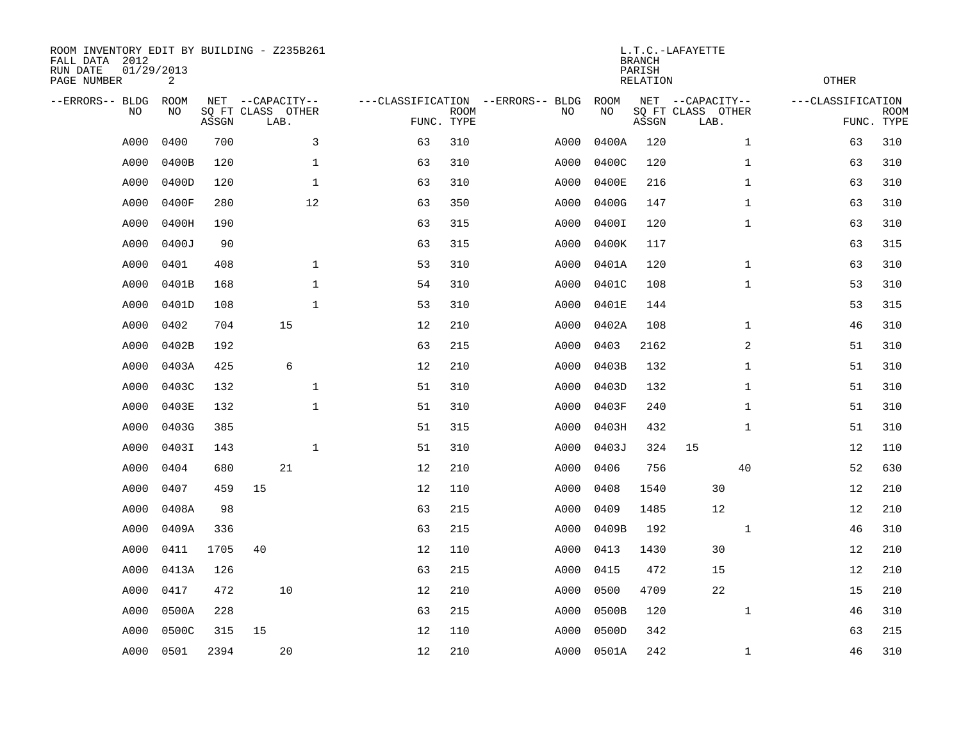| ROOM INVENTORY EDIT BY BUILDING - Z235B261<br>FALL DATA 2012<br>RUN DATE<br>PAGE NUMBER | 01/29/2013<br>2 |       |                                               | L.T.C.-LAFAYETTE<br><b>BRANCH</b><br>PARISH<br><b>RELATION</b> |                                   |                           |  |      |            |       |                                               | <b>OTHER</b> |                                 |             |  |  |  |
|-----------------------------------------------------------------------------------------|-----------------|-------|-----------------------------------------------|----------------------------------------------------------------|-----------------------------------|---------------------------|--|------|------------|-------|-----------------------------------------------|--------------|---------------------------------|-------------|--|--|--|
| --ERRORS-- BLDG<br>NO                                                                   | ROOM<br>NO      | ASSGN | NET --CAPACITY--<br>SQ FT CLASS OTHER<br>LAB. |                                                                | ---CLASSIFICATION --ERRORS-- BLDG | <b>ROOM</b><br>FUNC. TYPE |  | NO   | ROOM<br>NO | ASSGN | NET --CAPACITY--<br>SQ FT CLASS OTHER<br>LAB. |              | ---CLASSIFICATION<br>FUNC. TYPE | <b>ROOM</b> |  |  |  |
| A000                                                                                    | 0400            | 700   |                                               | 3                                                              | 63                                | 310                       |  | A000 | 0400A      | 120   |                                               | $\mathbf{1}$ | 63                              | 310         |  |  |  |
| A000                                                                                    | 0400B           | 120   |                                               | $\mathbf{1}$                                                   | 63                                | 310                       |  | A000 | 0400C      | 120   |                                               | $\mathbf{1}$ | 63                              | 310         |  |  |  |
| A000                                                                                    | 0400D           | 120   |                                               | $\mathbf{1}$                                                   | 63                                | 310                       |  | A000 | 0400E      | 216   |                                               | $\mathbf{1}$ | 63                              | 310         |  |  |  |
| A000                                                                                    | 0400F           | 280   |                                               | 12                                                             | 63                                | 350                       |  | A000 | 0400G      | 147   |                                               | $\mathbf{1}$ | 63                              | 310         |  |  |  |
| A000                                                                                    | 0400H           | 190   |                                               |                                                                | 63                                | 315                       |  | A000 | 0400I      | 120   |                                               | $\mathbf{1}$ | 63                              | 310         |  |  |  |
| A000                                                                                    | 0400J           | 90    |                                               |                                                                | 63                                | 315                       |  | A000 | 0400K      | 117   |                                               |              | 63                              | 315         |  |  |  |
| A000                                                                                    | 0401            | 408   |                                               | $\mathbf{1}$                                                   | 53                                | 310                       |  | A000 | 0401A      | 120   |                                               | $\mathbf{1}$ | 63                              | 310         |  |  |  |
| A000                                                                                    | 0401B           | 168   |                                               | $\mathbf{1}$                                                   | 54                                | 310                       |  | A000 | 0401C      | 108   |                                               | $\mathbf{1}$ | 53                              | 310         |  |  |  |
| A000                                                                                    | 0401D           | 108   |                                               | $\mathbf{1}$                                                   | 53                                | 310                       |  | A000 | 0401E      | 144   |                                               |              | 53                              | 315         |  |  |  |
| A000                                                                                    | 0402            | 704   | 15                                            |                                                                | 12                                | 210                       |  | A000 | 0402A      | 108   |                                               | $\mathbf{1}$ | 46                              | 310         |  |  |  |
| A000                                                                                    | 0402B           | 192   |                                               |                                                                | 63                                | 215                       |  | A000 | 0403       | 2162  |                                               | 2            | 51                              | 310         |  |  |  |
| A000                                                                                    | 0403A           | 425   | 6                                             |                                                                | 12                                | 210                       |  | A000 | 0403B      | 132   |                                               | $\mathbf{1}$ | 51                              | 310         |  |  |  |
| A000                                                                                    | 0403C           | 132   |                                               | $\mathbf{1}$                                                   | 51                                | 310                       |  | A000 | 0403D      | 132   |                                               | $\mathbf{1}$ | 51                              | 310         |  |  |  |
| A000                                                                                    | 0403E           | 132   |                                               | $\mathbf 1$                                                    | 51                                | 310                       |  | A000 | 0403F      | 240   |                                               | $\mathbf{1}$ | 51                              | 310         |  |  |  |
| A000                                                                                    | 0403G           | 385   |                                               |                                                                | 51                                | 315                       |  | A000 | 0403H      | 432   |                                               | $\mathbf{1}$ | 51                              | 310         |  |  |  |
| A000                                                                                    | 0403I           | 143   |                                               | $\mathbf{1}$                                                   | 51                                | 310                       |  | A000 | 0403J      | 324   | 15                                            |              | 12                              | 110         |  |  |  |
| A000                                                                                    | 0404            | 680   | 21                                            |                                                                | 12                                | 210                       |  | A000 | 0406       | 756   |                                               | 40           | 52                              | 630         |  |  |  |
| A000                                                                                    | 0407            | 459   | 15                                            |                                                                | 12                                | 110                       |  | A000 | 0408       | 1540  | 30                                            |              | 12                              | 210         |  |  |  |
| A000                                                                                    | 0408A           | 98    |                                               |                                                                | 63                                | 215                       |  | A000 | 0409       | 1485  | 12                                            |              | 12                              | 210         |  |  |  |
| A000                                                                                    | 0409A           | 336   |                                               |                                                                | 63                                | 215                       |  | A000 | 0409B      | 192   |                                               | $\mathbf{1}$ | 46                              | 310         |  |  |  |
| A000                                                                                    | 0411            | 1705  | 40                                            |                                                                | 12                                | 110                       |  | A000 | 0413       | 1430  | 30                                            |              | 12                              | 210         |  |  |  |
| A000                                                                                    | 0413A           | 126   |                                               |                                                                | 63                                | 215                       |  | A000 | 0415       | 472   | 15                                            |              | 12                              | 210         |  |  |  |
| A000                                                                                    | 0417            | 472   | 10                                            |                                                                | 12                                | 210                       |  | A000 | 0500       | 4709  | 22                                            |              | 15                              | 210         |  |  |  |
| A000                                                                                    | 0500A           | 228   |                                               |                                                                | 63                                | 215                       |  | A000 | 0500B      | 120   |                                               | $\mathbf{1}$ | 46                              | 310         |  |  |  |
| A000                                                                                    | 0500C           | 315   | 15                                            |                                                                | 12                                | 110                       |  | A000 | 0500D      | 342   |                                               |              | 63                              | 215         |  |  |  |
| A000                                                                                    | 0501            | 2394  | 20                                            |                                                                | 12                                | 210                       |  | A000 | 0501A      | 242   |                                               | $\mathbf{1}$ | 46                              | 310         |  |  |  |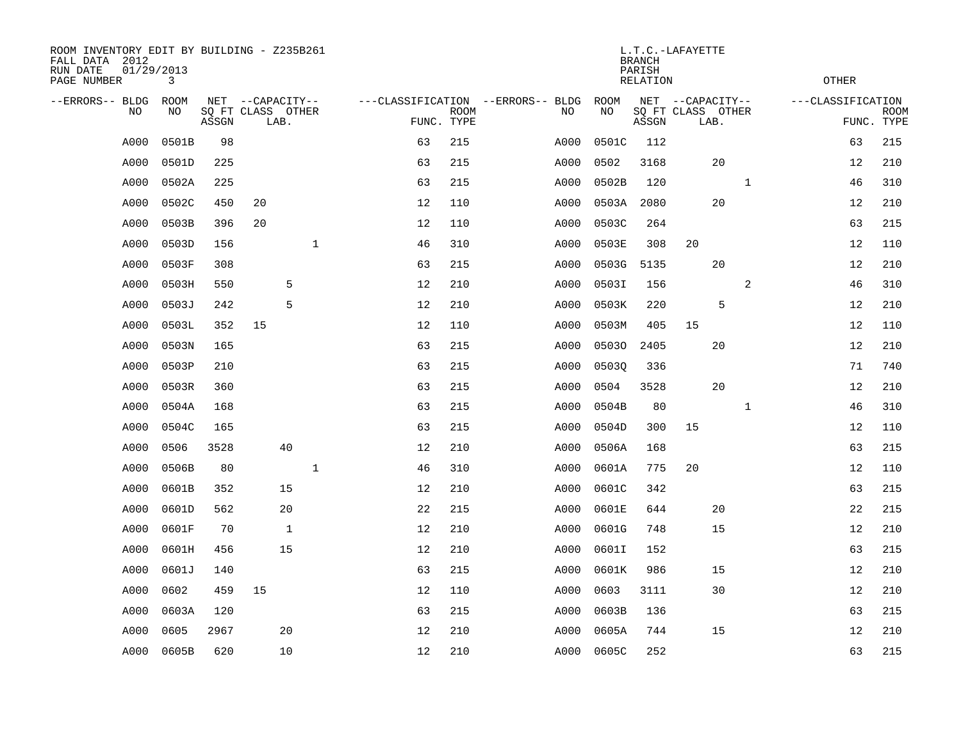| ROOM INVENTORY EDIT BY BUILDING - Z235B261<br>FALL DATA 2012<br>RUN DATE<br>PAGE NUMBER | 01/29/2013<br>3 |       |                           |             |    |                           |                                   |             | <b>BRANCH</b><br>PARISH<br><b>RELATION</b> | L.T.C.-LAFAYETTE          |              | <b>OTHER</b>      |                           |
|-----------------------------------------------------------------------------------------|-----------------|-------|---------------------------|-------------|----|---------------------------|-----------------------------------|-------------|--------------------------------------------|---------------------------|--------------|-------------------|---------------------------|
| --ERRORS-- BLDG                                                                         | ROOM            |       | NET --CAPACITY--          |             |    |                           | ---CLASSIFICATION --ERRORS-- BLDG | <b>ROOM</b> |                                            | NET --CAPACITY--          |              | ---CLASSIFICATION |                           |
| N <sub>O</sub>                                                                          | NO.             | ASSGN | SO FT CLASS OTHER<br>LAB. |             |    | <b>ROOM</b><br>FUNC. TYPE | NO.                               | NO          | ASSGN                                      | SQ FT CLASS OTHER<br>LAB. |              |                   | <b>ROOM</b><br>FUNC. TYPE |
| A000                                                                                    | 0501B           | 98    |                           |             | 63 | 215                       | A000                              | 0501C       | 112                                        |                           |              | 63                | 215                       |
| A000                                                                                    | 0501D           | 225   |                           |             | 63 | 215                       | A000                              | 0502        | 3168                                       | 20                        |              | 12                | 210                       |
| A000                                                                                    | 0502A           | 225   |                           |             | 63 | 215                       | A000                              | 0502B       | 120                                        |                           | $\mathbf{1}$ | 46                | 310                       |
| A000                                                                                    | 0502C           | 450   | 20                        |             | 12 | 110                       | A000                              | 0503A       | 2080                                       | 20                        |              | 12                | 210                       |
| A000                                                                                    | 0503B           | 396   | 20                        |             | 12 | 110                       | A000                              | 0503C       | 264                                        |                           |              | 63                | 215                       |
| A000                                                                                    | 0503D           | 156   |                           | $\mathbf 1$ | 46 | 310                       | A000                              | 0503E       | 308                                        | 20                        |              | 12                | 110                       |
| A000                                                                                    | 0503F           | 308   |                           |             | 63 | 215                       | A000                              | 0503G       | 5135                                       | 20                        |              | 12                | 210                       |
| A000                                                                                    | 0503H           | 550   | 5                         |             | 12 | 210                       | A000                              | 0503I       | 156                                        |                           | 2            | 46                | 310                       |
| A000                                                                                    | 0503J           | 242   | 5                         |             | 12 | 210                       | A000                              | 0503K       | 220                                        | 5                         |              | 12                | 210                       |
| A000                                                                                    | 0503L           | 352   | 15                        |             | 12 | 110                       | A000                              | 0503M       | 405                                        | 15                        |              | 12                | 110                       |
| A000                                                                                    | 0503N           | 165   |                           |             | 63 | 215                       | A000                              | 05030       | 2405                                       | 20                        |              | 12                | 210                       |
| A000                                                                                    | 0503P           | 210   |                           |             | 63 | 215                       | A000                              | 05030       | 336                                        |                           |              | 71                | 740                       |
| A000                                                                                    | 0503R           | 360   |                           |             | 63 | 215                       | A000                              | 0504        | 3528                                       | 20                        |              | 12                | 210                       |
| A000                                                                                    | 0504A           | 168   |                           |             | 63 | 215                       | A000                              | 0504B       | 80                                         |                           | $\mathbf{1}$ | 46                | 310                       |
| A000                                                                                    | 0504C           | 165   |                           |             | 63 | 215                       | A000                              | 0504D       | 300                                        | 15                        |              | 12                | 110                       |
| A000                                                                                    | 0506            | 3528  | 40                        |             | 12 | 210                       | A000                              | 0506A       | 168                                        |                           |              | 63                | 215                       |
| A000                                                                                    | 0506B           | 80    |                           | $\mathbf 1$ | 46 | 310                       | A000                              | 0601A       | 775                                        | 20                        |              | 12                | 110                       |
| A000                                                                                    | 0601B           | 352   | 15                        |             | 12 | 210                       | A000                              | 0601C       | 342                                        |                           |              | 63                | 215                       |
| A000                                                                                    | 0601D           | 562   | 20                        |             | 22 | 215                       | A000                              | 0601E       | 644                                        | 20                        |              | 22                | 215                       |
| A000                                                                                    | 0601F           | 70    | $\mathbf{1}$              |             | 12 | 210                       | A000                              | 0601G       | 748                                        | 15                        |              | 12                | 210                       |
| A000                                                                                    | 0601H           | 456   | 15                        |             | 12 | 210                       | A000                              | 0601I       | 152                                        |                           |              | 63                | 215                       |
| A000                                                                                    | 0601J           | 140   |                           |             | 63 | 215                       | A000                              | 0601K       | 986                                        | 15                        |              | 12                | 210                       |
| A000                                                                                    | 0602            | 459   | 15                        |             | 12 | 110                       | A000                              | 0603        | 3111                                       | 30                        |              | 12                | 210                       |
| A000                                                                                    | 0603A           | 120   |                           |             | 63 | 215                       | A000                              | 0603B       | 136                                        |                           |              | 63                | 215                       |
| A000                                                                                    | 0605            | 2967  | 20                        |             | 12 | 210                       | A000                              | 0605A       | 744                                        | 15                        |              | 12                | 210                       |
| A000                                                                                    | 0605B           | 620   | 10                        |             | 12 | 210                       | A000                              | 0605C       | 252                                        |                           |              | 63                | 215                       |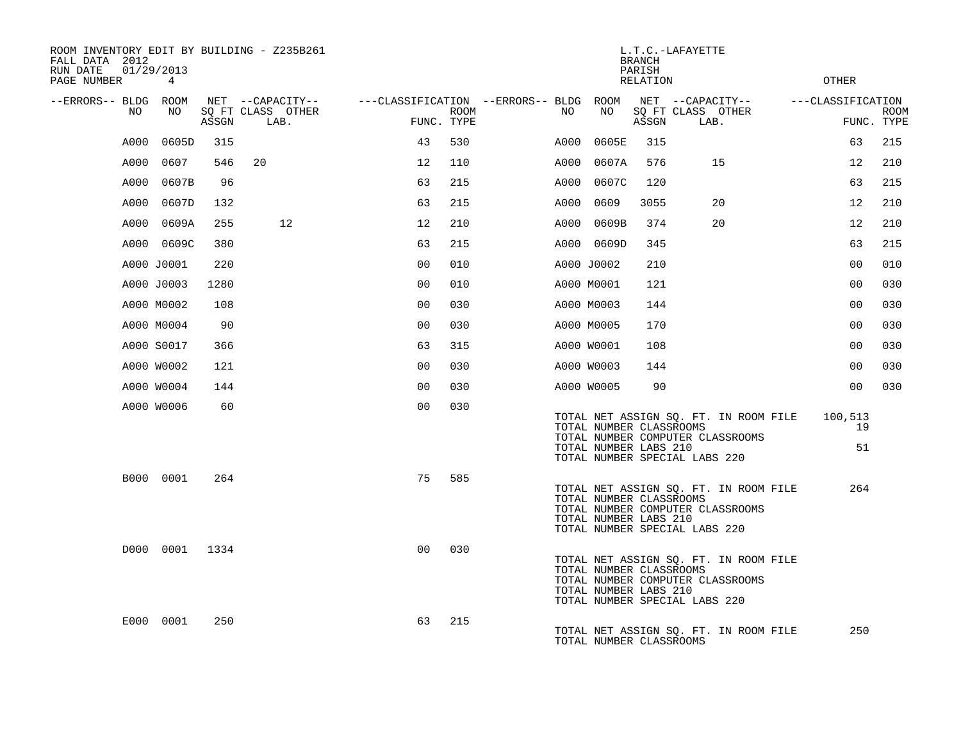| ROOM INVENTORY EDIT BY BUILDING - Z235B261<br>FALL DATA 2012<br>RUN DATE<br>PAGE NUMBER | 01/29/2013<br>$4\overline{ }$ |       |                                               |                                                      |             |      |                                                  | <b>BRANCH</b><br>PARISH<br><b>RELATION</b> | L.T.C.-LAFAYETTE                                                                                           | <b>OTHER</b>      |                |                           |
|-----------------------------------------------------------------------------------------|-------------------------------|-------|-----------------------------------------------|------------------------------------------------------|-------------|------|--------------------------------------------------|--------------------------------------------|------------------------------------------------------------------------------------------------------------|-------------------|----------------|---------------------------|
| --ERRORS-- BLDG ROOM<br>NO                                                              | NO                            | ASSGN | NET --CAPACITY--<br>SQ FT CLASS OTHER<br>LAB. | ---CLASSIFICATION --ERRORS-- BLDG ROOM<br>FUNC. TYPE | <b>ROOM</b> | NO   | NO                                               | ASSGN                                      | NET --CAPACITY--<br>SQ FT CLASS OTHER<br>LAB.                                                              | ---CLASSIFICATION |                | <b>ROOM</b><br>FUNC. TYPE |
| A000                                                                                    | 0605D                         | 315   |                                               | 43                                                   | 530         | A000 | 0605E                                            | 315                                        |                                                                                                            |                   | 63             | 215                       |
| A000                                                                                    | 0607                          | 546   | 20                                            | 12                                                   | 110         | A000 | 0607A                                            | 576                                        | 15                                                                                                         |                   | 12             | 210                       |
| A000                                                                                    | 0607B                         | 96    |                                               | 63                                                   | 215         | A000 | 0607C                                            | 120                                        |                                                                                                            |                   | 63             | 215                       |
| A000                                                                                    | 0607D                         | 132   |                                               | 63                                                   | 215         | A000 | 0609                                             | 3055                                       | 20                                                                                                         |                   | 12             | 210                       |
| A000                                                                                    | 0609A                         | 255   | 12                                            | 12                                                   | 210         | A000 | 0609B                                            | 374                                        | 20                                                                                                         |                   | 12             | 210                       |
|                                                                                         | A000 0609C                    | 380   |                                               | 63                                                   | 215         |      | A000 0609D                                       | 345                                        |                                                                                                            |                   | 63             | 215                       |
|                                                                                         | A000 J0001                    | 220   |                                               | 0 <sub>0</sub>                                       | 010         |      | A000 J0002                                       | 210                                        |                                                                                                            |                   | 0 <sub>0</sub> | 010                       |
|                                                                                         | A000 J0003                    | 1280  |                                               | 0 <sub>0</sub>                                       | 010         |      | A000 M0001                                       | 121                                        |                                                                                                            |                   | 00             | 030                       |
|                                                                                         | A000 M0002                    | 108   |                                               | 0 <sub>0</sub>                                       | 030         |      | A000 M0003                                       | 144                                        |                                                                                                            |                   | 00             | 030                       |
|                                                                                         | A000 M0004                    | 90    |                                               | 00                                                   | 030         |      | A000 M0005                                       | 170                                        |                                                                                                            |                   | 00             | 030                       |
|                                                                                         | A000 S0017                    | 366   |                                               | 63                                                   | 315         |      | A000 W0001                                       | 108                                        |                                                                                                            |                   | 0 <sub>0</sub> | 030                       |
|                                                                                         | A000 W0002                    | 121   |                                               | 0 <sub>0</sub>                                       | 030         |      | A000 W0003                                       | 144                                        |                                                                                                            |                   | 0 <sub>0</sub> | 030                       |
|                                                                                         | A000 W0004                    | 144   |                                               | 0 <sub>0</sub>                                       | 030         |      | A000 W0005                                       | 90                                         |                                                                                                            |                   | 0 <sub>0</sub> | 030                       |
|                                                                                         | A000 W0006                    | 60    |                                               | 0 <sub>0</sub>                                       | 030         |      | TOTAL NUMBER CLASSROOMS<br>TOTAL NUMBER LABS 210 |                                            | TOTAL NET ASSIGN SQ. FT. IN ROOM FILE<br>TOTAL NUMBER COMPUTER CLASSROOMS<br>TOTAL NUMBER SPECIAL LABS 220 | 100,513           | 19<br>51       |                           |
|                                                                                         | B000 0001                     | 264   |                                               | 75                                                   | 585         |      | TOTAL NUMBER CLASSROOMS<br>TOTAL NUMBER LABS 210 |                                            | TOTAL NET ASSIGN SQ. FT. IN ROOM FILE<br>TOTAL NUMBER COMPUTER CLASSROOMS<br>TOTAL NUMBER SPECIAL LABS 220 |                   | 264            |                           |
|                                                                                         | D000 0001 1334                |       |                                               | 0 <sub>0</sub>                                       | 030         |      | TOTAL NUMBER CLASSROOMS<br>TOTAL NUMBER LABS 210 |                                            | TOTAL NET ASSIGN SQ. FT. IN ROOM FILE<br>TOTAL NUMBER COMPUTER CLASSROOMS<br>TOTAL NUMBER SPECIAL LABS 220 |                   |                |                           |
|                                                                                         | E000 0001                     | 250   |                                               | 63                                                   | 215         |      | TOTAL NUMBER CLASSROOMS                          |                                            | TOTAL NET ASSIGN SQ. FT. IN ROOM FILE                                                                      |                   | 250            |                           |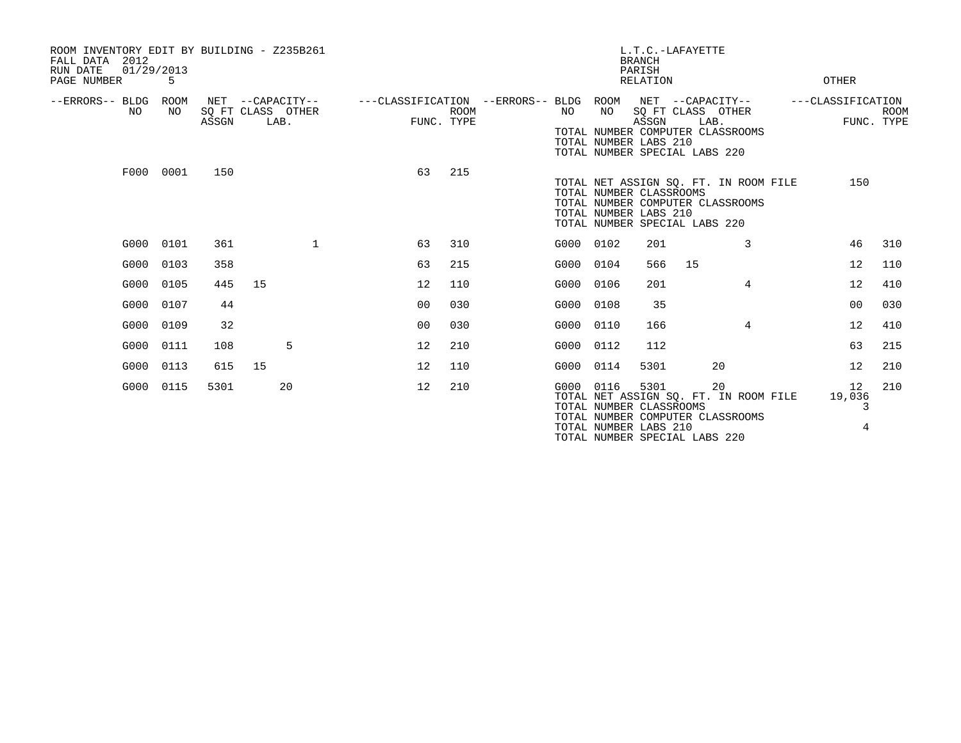| ROOM INVENTORY EDIT BY BUILDING - Z235B261<br>2012<br>FALL DATA<br>01/29/2013<br>RUN DATE<br>PAGE NUMBER | 5.         |       |                                               |                                   |                           |           |                                                                                   | <b>BRANCH</b><br>PARISH<br><b>RELATION</b> | L.T.C.-LAFAYETTE          |                                                                                 | OTHER                  |                           |
|----------------------------------------------------------------------------------------------------------|------------|-------|-----------------------------------------------|-----------------------------------|---------------------------|-----------|-----------------------------------------------------------------------------------|--------------------------------------------|---------------------------|---------------------------------------------------------------------------------|------------------------|---------------------------|
| --ERRORS-- BLDG<br>NO.                                                                                   | ROOM<br>NO | ASSGN | NET --CAPACITY--<br>SQ FT CLASS OTHER<br>LAB. | ---CLASSIFICATION --ERRORS-- BLDG | <b>ROOM</b><br>FUNC. TYPE | NO        | ROOM<br>NO<br>TOTAL NUMBER LABS 210<br>TOTAL NUMBER SPECIAL LABS 220              | ASSGN                                      | SQ FT CLASS OTHER<br>LAB. | NET --CAPACITY--<br>TOTAL NUMBER COMPUTER CLASSROOMS                            | ---CLASSIFICATION      | <b>ROOM</b><br>FUNC. TYPE |
|                                                                                                          | F000 0001  | 150   |                                               | 63                                | 215                       |           | TOTAL NUMBER CLASSROOMS<br>TOTAL NUMBER LABS 210<br>TOTAL NUMBER SPECIAL LABS 220 |                                            |                           | TOTAL NET ASSIGN SQ. FT. IN ROOM FILE<br>TOTAL NUMBER COMPUTER CLASSROOMS       | 150                    |                           |
| G000 0101                                                                                                |            | 361   | $\mathbf 1$                                   | 63                                | 310                       | G000 0102 |                                                                                   | 201                                        |                           | 3                                                                               | 46                     | 310                       |
| G000                                                                                                     | 0103       | 358   |                                               | 63                                | 215                       | G000      | 0104                                                                              | 566                                        | 15                        |                                                                                 | 12                     | 110                       |
| G000                                                                                                     | 0105       | 445   | 15                                            | 12                                | 110                       | G000      | 0106                                                                              | 201                                        |                           | 4                                                                               | 12                     | 410                       |
| G000                                                                                                     | 0107       | 44    |                                               | 0 <sub>0</sub>                    | 030                       | G000 0108 |                                                                                   | 35                                         |                           |                                                                                 | 0 <sub>0</sub>         | 030                       |
| G000                                                                                                     | 0109       | 32    |                                               | 0 <sup>0</sup>                    | 030                       | G000      | 0110                                                                              | 166                                        |                           | 4                                                                               | 12                     | 410                       |
| G000                                                                                                     | 0111       | 108   | 5                                             | 12                                | 210                       | G000 0112 |                                                                                   | 112                                        |                           |                                                                                 | 63                     | 215                       |
| G000                                                                                                     | 0113       | 615   | 15                                            | 12                                | 110                       | G000      | 0114                                                                              | 5301                                       |                           | 20                                                                              | 12                     | 210                       |
| G000                                                                                                     | 0115       | 5301  | 20                                            | 12                                | 210                       | G000 0116 | TOTAL NUMBER CLASSROOMS<br>TOTAL NUMBER LABS 210<br>TOTAL NUMBER SPECIAL LABS 220 | 5301                                       |                           | 20<br>TOTAL NET ASSIGN SQ. FT. IN ROOM FILE<br>TOTAL NUMBER COMPUTER CLASSROOMS | 12<br>19,036<br>3<br>4 | 210                       |